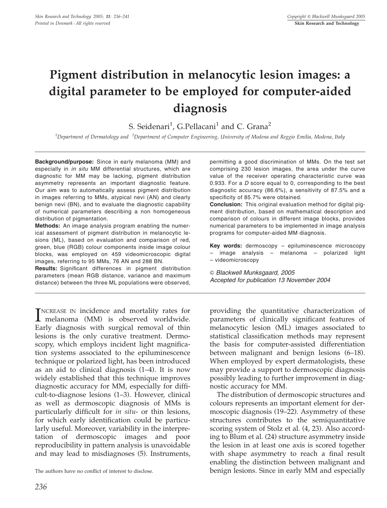# Pigment distribution in melanocytic lesion images: a digital parameter to be employed for computer-aided diagnosis

S. Seidenari<sup>1</sup>, G.Pellacani<sup>1</sup> and C. Grana<sup>2</sup>

<sup>1</sup>Department of Dermatology and <sup>2</sup>Department of Computer Engineering, University of Modena and Reggio Emilia, Modena, Italy

Background/purpose: Since in early melanoma (MM) and especially in in situ MM differential structures, which are diagnostic for MM may be lacking, pigment distribution asymmetry represents an important diagnostic feature. Our aim was to automatically assess pigment distribution in images referring to MMs, atypical nevi (AN) and clearly benign nevi (BN), and to evaluate the diagnostic capability of numerical parameters describing a non homogeneous distribution of pigmentation.

Methods: An image analysis program enabling the numerical assessment of pigment distribution in melanocytic lesions (ML), based on evaluation and comparison of red, green, blue (RGB) colour components inside image colour blocks, was employed on 459 videomicroscopic digital images, referring to 95 MMs, 76 AN and 288 BN.

Results: Significant differences in pigment distribution parameters (mean RGB distance, variance and maximum distance) between the three ML populations were observed,

**INCREASE IN incidence and mortality rates for<br>
melanoma (MM) is observed worldwide.**<br>
Farks diagnosis with sumisel sumpre of this NCREASE IN incidence and mortality rates for Early diagnosis with surgical removal of thin lesions is the only curative treatment. Dermoscopy, which employs incident light magnification systems associated to the epiluminescence technique or polarized light, has been introduced as an aid to clinical diagnosis (1–4). It is now widely established that this technique improves diagnostic accuracy for MM, especially for difficult-to-diagnose lesions (1–3). However, clinical as well as dermoscopic diagnosis of MMs is particularly difficult for in situ- or thin lesions, for which early identification could be particularly useful. Moreover, variability in the interpretation of dermoscopic images and poor reproducibility in pattern analysis is unavoidable and may lead to misdiagnoses (5). Instruments,

permitting a good discrimination of MMs. On the test set comprising 230 lesion images, the area under the curve value of the receiver operating characteristic curve was 0.933. For a  $D$  score equal to 0, corresponding to the best diagnostic accuracy (86.6%), a sensitivity of 87.5% and a specificity of 85.7% were obtained.

Conclusion: This original evaluation method for digital pigment distribution, based on mathematical description and comparison of colours in different image blocks, provides numerical parameters to be implemented in image analysis programs for computer-aided MM diagnosis.

Key words: dermoscopy - epiluminescence microscopy – image analysis – melanoma – polarized light – videomicroscopy

 $© Blackwell Munksgaard, 2005$ Accepted for publication 13 November 2004

providing the quantitative characterization of parameters of clinically significant features of melanocytic lesion (ML) images associated to statistical classification methods may represent the basis for computer-assisted differentiation between malignant and benign lesions (6–18). When employed by expert dermatologists, these may provide a support to dermoscopic diagnosis possibly leading to further improvement in diagnostic accuracy for MM.

The distribution of dermoscopic structures and colours represents an important element for dermoscopic diagnosis (19–22). Asymmetry of these structures contributes to the semiquantitative scoring system of Stolz et al. (4, 23). Also according to Blum et al. (24) structure asymmetry inside the lesion in at least one axis is scored together with shape asymmetry to reach a final result enabling the distinction between malignant and The authors have no conflict of interest to disclose. benign lesions. Since in early MM and especially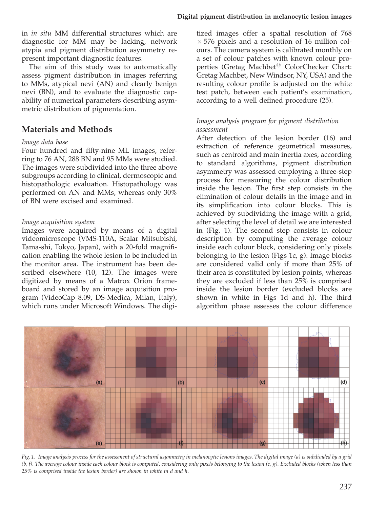in in situ MM differential structures which are diagnostic for MM may be lacking, network atypia and pigment distribution asymmetry represent important diagnostic features.

The aim of this study was to automatically assess pigment distribution in images referring to MMs, atypical nevi (AN) and clearly benign nevi (BN), and to evaluate the diagnostic capability of numerical parameters describing asymmetric distribution of pigmentation.

# Materials and Methods

#### Image data base

Four hundred and fifty-nine ML images, referring to 76 AN, 288 BN and 95 MMs were studied. The images were subdivided into the three above subgroups according to clinical, dermoscopic and histopathologic evaluation. Histopathology was performed on AN and MMs, whereas only 30% of BN were excised and examined.

#### Image acquisition system

Images were acquired by means of a digital videomicroscope (VMS-110A, Scalar Mitsubishi, Tama-shi, Tokyo, Japan), with a 20-fold magnification enabling the whole lesion to be included in the monitor area. The instrument has been described elsewhere (10, 12). The images were digitized by means of a Matrox Orion frameboard and stored by an image acquisition program (VideoCap 8.09, DS-Medica, Milan, Italy), which runs under Microsoft Windows. The digitized images offer a spatial resolution of 768  $\times$  576 pixels and a resolution of 16 million colours. The camera system is calibrated monthly on a set of colour patches with known colour properties (Gretag Machbet*<sup>s</sup>* ColorChecker Chart: Gretag Machbet, New Windsor, NY, USA) and the resulting colour profile is adjusted on the white test patch, between each patient's examination, according to a well defined procedure (25).

### Image analysis program for pigment distribution assessment

After detection of the lesion border (16) and extraction of reference geometrical measures, such as centroid and main inertia axes, according to standard algorithms, pigment distribution asymmetry was assessed employing a three-step process for measuring the colour distribution inside the lesion. The first step consists in the elimination of colour details in the image and in its simplification into colour blocks. This is achieved by subdividing the image with a grid, after selecting the level of detail we are interested in (Fig. 1). The second step consists in colour description by computing the average colour inside each colour block, considering only pixels belonging to the lesion (Figs 1c, g). Image blocks are considered valid only if more than 25% of their area is constituted by lesion points, whereas they are excluded if less than 25% is comprised inside the lesion border (excluded blocks are shown in white in Figs 1d and h). The third algorithm phase assesses the colour difference



Fig. 1. Image analysis process for the assessment of structural asymmetry in melanocytic lesions images. The digital image (a) is subdivided by a grid  $(b, f)$ . The average colour inside each colour block is computed, considering only pixels belonging to the lesion  $(c, g)$ . Excluded blocks (when less than 25% is comprised inside the lesion border) are shown in white in d and h.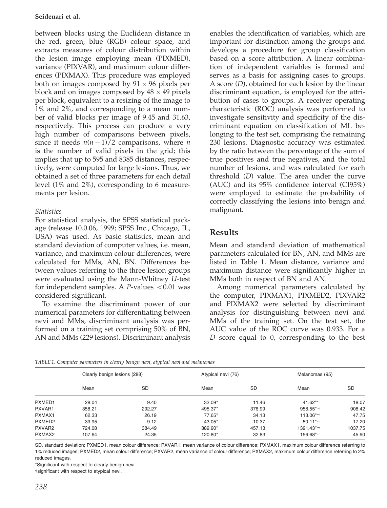#### Seidenari et al.

between blocks using the Euclidean distance in the red, green, blue (RGB) colour space, and extracts measures of colour distribution within the lesion image employing mean (PIXMED), variance (PIXVAR), and maximum colour differences (PIXMAX). This procedure was employed both on images composed by  $91 \times 96$  pixels per block and on images composed by  $48 \times 49$  pixels per block, equivalent to a resizing of the image to 1% and 2%, and corresponding to a mean number of valid blocks per image of 9.45 and 31.63, respectively. This process can produce a very high number of comparisons between pixels, since it needs  $n(n-1)/2$  comparisons, where n is the number of valid pixels in the grid; this implies that up to 595 and 8385 distances, respectively, were computed for large lesions. Thus, we obtained a set of three parameters for each detail level (1% and 2%), corresponding to 6 measurements per lesion.

## **Statistics**

For statistical analysis, the SPSS statistical package (release 10.0.06, 1999; SPSS Inc., Chicago, IL, USA) was used. As basic statistics, mean and standard deviation of computer values, i.e. mean, variance, and maximum colour differences, were calculated for MMs, AN, BN. Differences between values referring to the three lesion groups were evaluated using the Mann-Whitney U-test for independent samples. A *P*-values <0.01 was considered significant.

To examine the discriminant power of our numerical parameters for differentiating between nevi and MMs, discriminant analysis was performed on a training set comprising 50% of BN, AN and MMs (229 lesions). Discriminant analysis

enables the identification of variables, which are important for distinction among the groups and develops a procedure for group classification based on a score attribution. A linear combination of independent variables is formed and serves as a basis for assigning cases to groups. A score (D), obtained for each lesion by the linear discriminant equation, is employed for the attribution of cases to groups. A receiver operating characteristic (ROC) analysis was performed to investigate sensitivity and specificity of the discriminant equation on classification of ML belonging to the test set, comprising the remaining 230 lesions. Diagnostic accuracy was estimated by the ratio between the percentage of the sum of true positives and true negatives, and the total number of lesions, and was calculated for each threshold (D) value. The area under the curve (AUC) and its 95% confidence interval (CI95%) were employed to estimate the probability of correctly classifying the lesions into benign and malignant.

# Results

Mean and standard deviation of mathematical parameters calculated for BN, AN, and MMs are listed in Table 1. Mean distance, variance and maximum distance were significantly higher in MMs both in respect of BN and AN.

Among numerical parameters calculated by the computer, PIXMAX1, PIXMED2, PIXVAR2 and PIXMAX2 were selected by discriminant analysis for distinguishing between nevi and MMs of the training set. On the test set, the AUC value of the ROC curve was 0.933. For a D score equal to 0, corresponding to the best

|                    | Clearly benign lesions (288) |           | Atypical nevi (76) |           | Melanomas (95)        |           |
|--------------------|------------------------------|-----------|--------------------|-----------|-----------------------|-----------|
|                    | Mean                         | <b>SD</b> | Mean               | <b>SD</b> | Mean                  | <b>SD</b> |
| PXMED1             | 28.04                        | 9.40      | $32.09*$           | 11.46     | $41.62$ *'†           | 18.07     |
| PXVAR1             | 358.21                       | 292.27    | 495.37*            | 376.99    | $958.55$ *;†          | 908.42    |
| PXMAX1             | 62.33                        | 26.19     | 77.65*             | 34.13     | 113.06* <sup>+</sup>  | 47.75     |
| PXMED <sub>2</sub> | 39.95                        | 9.12      | 43.05*             | 10.37     | $50.11***$            | 17.20     |
| PXVAR <sub>2</sub> | 724.08                       | 384.49    | 889.90*            | 457.13    | 1391.43* <sup>*</sup> | 1037.75   |
| PXMAX2             | 107.64                       | 24.35     | 120.80*            | 32.83     | 156.68* <sup>*</sup>  | 45.90     |

SD, standard deviation; PXMED1, mean colour difference; PXVAR1, mean variance of colour difference; PXMAX1, maximum colour difference referring to 1% reduced images; PXMED2, mean colour difference; PXVAR2, mean variance of colour difference; PXMAX2, maximum colour difference referring to 2% reduced images.

\*Significant with respect to clearly benign nevi.

tsignificant with respect to atypical nevi.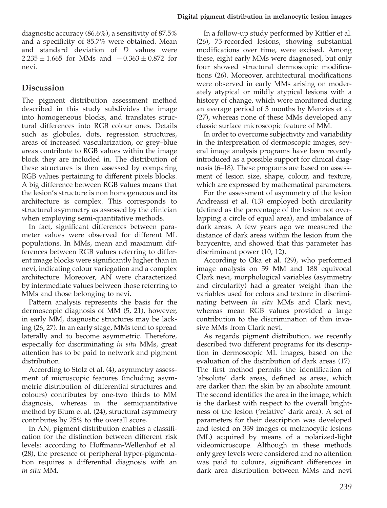diagnostic accuracy (86.6%), a sensitivity of 87.5% and a specificity of 85.7% were obtained. Mean and standard deviation of D values were  $2.235 \pm 1.665$  for MMs and  $-0.363 \pm 0.872$  for nevi.

# **Discussion**

The pigment distribution assessment method described in this study subdivides the image into homogeneous blocks, and translates structural differences into RGB colour ones. Details such as globules, dots, regression structures, areas of increased vascularization, or grey–blue areas contribute to RGB values within the image block they are included in. The distribution of these structures is then assessed by comparing RGB values pertaining to different pixels blocks. A big difference between RGB values means that the lesion's structure is non homogeneous and its architecture is complex. This corresponds to structural asymmetry as assessed by the clinician when employing semi-quantitative methods.

In fact, significant differences between parameter values were observed for different ML populations. In MMs, mean and maximum differences between RGB values referring to different image blocks were significantly higher than in nevi, indicating colour variegation and a complex architecture. Moreover, AN were characterized by intermediate values between those referring to MMs and those belonging to nevi.

Pattern analysis represents the basis for the dermoscopic diagnosis of MM (5, 21), however, in early MM, diagnostic structures may be lacking (26, 27). In an early stage, MMs tend to spread laterally and to become asymmetric. Therefore, especially for discriminating in situ MMs, great attention has to be paid to network and pigment distribution.

According to Stolz et al. (4), asymmetry assessment of microscopic features (including asymmetric distribution of differential structures and colours) contributes by one-two thirds to MM diagnosis, whereas in the semiquantitative method by Blum et al. (24), structural asymmetry contributes by 25% to the overall score.

In AN, pigment distribution enables a classification for the distinction between different risk levels: according to Hoffmann-Wellenhof et al. (28), the presence of peripheral hyper-pigmentation requires a differential diagnosis with an in situ MM.

In a follow-up study performed by Kittler et al. (26), 75-recorded lesions, showing substantial modifications over time, were excised. Among these, eight early MMs were diagnosed, but only four showed structural dermoscopic modifications (26). Moreover, architectural modifications were observed in early MMs arising on moderately atypical or mildly atypical lesions with a history of change, which were monitored during an average period of 3 months by Menzies et al. (27), whereas none of these MMs developed any classic surface microscopic feature of MM.

In order to overcome subjectivity and variability in the interpretation of dermoscopic images, several image analysis programs have been recently introduced as a possible support for clinical diagnosis (6–18). These programs are based on assessment of lesion size, shape, colour, and texture, which are expressed by mathematical parameters.

For the assessment of asymmetry of the lesion Andreassi et al. (13) employed both circularity (defined as the percentage of the lesion not overlapping a circle of equal area), and imbalance of dark areas. A few years ago we measured the distance of dark areas within the lesion from the barycentre, and showed that this parameter has discriminant power (10, 12).

According to Oka et al. (29), who performed image analysis on 59 MM and 188 equivocal Clark nevi, morphological variables (asymmetry and circularity) had a greater weight than the variables used for colors and texture in discriminating between in situ MMs and Clark nevi, whereas mean RGB values provided a large contribution to the discrimination of thin invasive MMs from Clark nevi.

As regards pigment distribution, we recently described two different programs for its description in dermoscopic ML images, based on the evaluation of the distribution of dark areas (17). The first method permits the identification of 'absolute' dark areas, defined as areas, which are darker than the skin by an absolute amount. The second identifies the area in the image, which is the darkest with respect to the overall brightness of the lesion ('relative' dark area). A set of parameters for their description was developed and tested on 339 images of melanocytic lesions (ML) acquired by means of a polarized-light videomicroscope. Although in these methods only grey levels were considered and no attention was paid to colours, significant differences in dark area distribution between MMs and nevi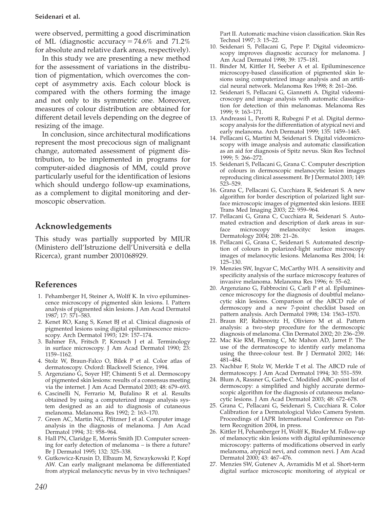#### Seidenari et al.

were observed, permitting a good discrimination of ML (diagnostic accuracy =  $74.6\%$  and  $71.2\%$ for absolute and relative dark areas, respectively).

In this study we are presenting a new method for the assessment of variations in the distribution of pigmentation, which overcomes the concept of asymmetry axis. Each colour block is compared with the others forming the image and not only to its symmetric one. Moreover, measures of colour distribution are obtained for different detail levels depending on the degree of resizing of the image.

In conclusion, since architectural modifications represent the most precocious sign of malignant change, automated assessment of pigment distribution, to be implemented in programs for computer-aided diagnosis of MM, could prove particularly useful for the identification of lesions which should undergo follow-up examinations, as a complement to digital monitoring and dermoscopic observation.

# Acknowledgements

This study was partially supported by MIUR (Ministero dell'Istruzione dell'Universita` e della Ricerca), grant number 2001068929.

# References

- 1. Pehamberger H, Steiner A, Wolff K. In vivo epiluminescence microscopy of pigmented skin lesions. I. Pattern analysis of pigmented skin lesions. J Am Acad Dermatol 1987; 17: 571–583.
- 2. Kenet RO, Kang S, Kenet BJ et al. Clinical diagnosis of pigmented lesions using digital epiluminescence microscopy. Arch Dermatol 1993; 129: 157–174.
- 3. Bahmer FA, Fritsch P, Kreusch J et al. Terminology in surface microscopy. J Am Acad Dermatol 1990; 23: 1159–1162.
- 4. Stolz W, Braun-Falco O, Bilek P et al. Color atlas of dermatoscopy. Oxford: Blackwell Science, 1994.
- 5. Argenziano G, Soyer HP, Chimenti S et al. Dermoscopy of pigmented skin lesions: results of a consensus meeting via the internet. J Am Acad Dermatol 2003; 48: 679–693.
- 6. Cascinelli N, Ferrario M, Bufalino R et al. Results obtained by using a computerized image analysis system designed as an aid to diagnosis of cutaneous melanoma. Melanoma Res 1992; 2: 163–170.
- 7. Green AC, Martin NG, Pfitzner J et al. Computer image analysis in the diagnosis of melanoma. J Am Acad Dermatol 1994; 31: 958–964.
- 8. Hall PN, Claridge E, Morris Smith JD. Computer screening for early detection of melanoma – is there a future? Br J Dermatol 1995; 132: 325–338.
- 9. Gutkowicz-Krusin D, Elbaum M, Szwaykowski P, Kopf AW. Can early malignant melanoma be differentiated from atypical melanocytic nevus by in vivo techniques?

Part II. Automatic machine vision classification. Skin Res Technol 1997; 3: 15–22.

- 10. Seidenari S, Pellacani G, Pepe P. Digital videomicroscopy improves diagnostic accuracy for melanoma. J Am Acad Dermatol 1998; 39: 175–181.
- 11. Binder M, Kittler H, Seeber A et al. Epiluminescence microscopy-based classification of pigmented skin lesions using computerized image analysis and an artificial neural network. Melanoma Res 1998; 8: 261–266.
- 12. Seidenari S, Pellacani G, Giannetti A. Digital videomicroscopy and image analysis with automatic classification for detection of thin melanomas. Melanoma Res 1999; 9: 163–171.
- 13. Andreassi L, Perotti R, Rubegni P et al. Digital dermoscopy analysis for the differentiation of atypical nevi and early melanoma. Arch Dermatol 1999; 135: 1459–1465.
- 14. Pellacani G, Martini M, Seidenari S. Digital videomicroscopy with image analysis and automatic classification as an aid for diagnosis of Spitz nevus. Skin Res Technol 1999; 5: 266–272.
- 15. Seidenari S, Pellacani G, Grana C. Computer description of colours in dermoscopic melanocytic lesion images reproducing clinical assessment. Br J Dermatol 2003; 149: 523–529.
- 16. Grana C, Pellacani G, Cucchiara R, Seidenari S. A new algorithm for border description of polarized light surface microscopic images of pigmented skin lesions. IEEE Trans Med Imaging 2003; 22: 959–964.
- 17. Pellacani G, Grana C, Cucchiara R, Seidenari S. Automated extraction and description of dark areas in surface microscopy melanocityc lesion images. Dermatology 2004; 208: 21–26.
- 18. Pellacani G, Grana C, Seidenari S. Automated description of colours in polarized-light surface microscopy images of melanocytic lesions. Melanoma Res 2004; 14: 125–130.
- 19. Menzies SW, Ingvar C, McCarthy WH. A sensitivity and specificity analysis of the surface microscopy features of invasive melanoma. Melanoma Res 1996; 6: 55–62.
- 20. Argenziano G, Fabbrocini G, Carli P et al. Epiluminescence microscopy for the diagnosis of doubtful melanocytic skin lesions. Comparison of the ABCD rule of dermoscopy and a new 7-point checklist based on pattern analysis. Arch Dermatol 1998; 134: 1563–1570.
- 21. Braun RP, Rabinovitz H, Oliviero M et al. Pattern analysis: a two-step procedure for the dermoscopic diagnosis of melanoma. Clin Dermatol 2002; 20: 236–239.
- 22. Mac Kie RM, Fleming C, Mc Mahon AD, Jarret P. The use of the dermatoscope to identify early melanoma using the three-colour test. Br J Dermatol 2002; 146: 481–484.
- 23. Nachbar F, Stolz W, Merkle T et al. The ABCD rule of dermatoscopy. J Am Acad Dermatol 1994; 30: 551–559.
- 24. Blum A, Rassner G, Garbe C. Modified ABC-point list of dermoscopy: a simplified and highly accurate dermoscopic algorithm for the diagnosis of cutaneous melanocytic lesions. J Am Acad Dermatol 2003; 48: 672–678.
- 25. Grana C, Pellacani G, Seidenari S, Cucchiara R. Color Calibration for a Dermatological Video Camera System. Proceedings of IAPR International Conference on Pattern Recognition 2004, in press.
- 26. Kittler H, Pehamberger H, Wolff K, Binder M. Follow-up of melanocytic skin lesions with digital epiluminescence microscopy: patterns of modifications observed in early melanoma, atypical nevi, and common nevi. J Am Acad Dermatol 2000; 43: 467–476.
- 27. Menzies SW, Gutenev A, Avramidis M et al. Short-term digital surface microscopic monitoring of atypical or